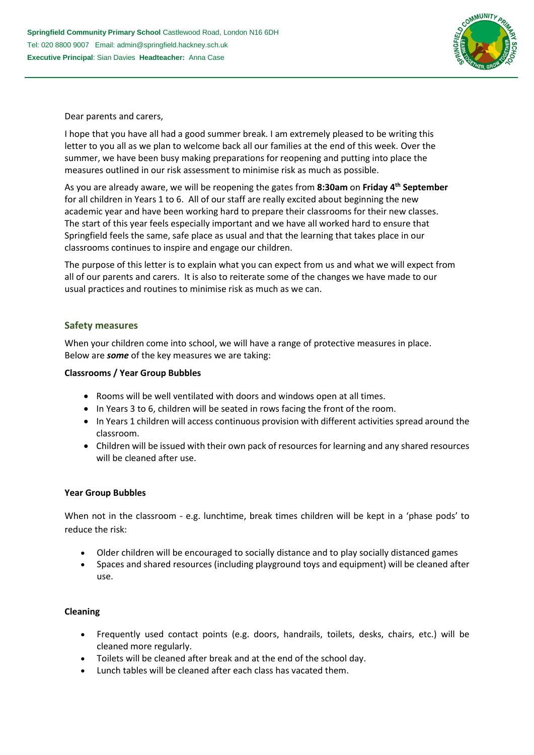

Dear parents and carers,

I hope that you have all had a good summer break. I am extremely pleased to be writing this letter to you all as we plan to welcome back all our families at the end of this week. Over the summer, we have been busy making preparations for reopening and putting into place the measures outlined in our risk assessment to minimise risk as much as possible.

As you are already aware, we will be reopening the gates from **8:30am** on **Friday 4th September**  for all children in Years 1 to 6. All of our staff are really excited about beginning the new academic year and have been working hard to prepare their classrooms for their new classes. The start of this year feels especially important and we have all worked hard to ensure that Springfield feels the same, safe place as usual and that the learning that takes place in our classrooms continues to inspire and engage our children.

The purpose of this letter is to explain what you can expect from us and what we will expect from all of our parents and carers. It is also to reiterate some of the changes we have made to our usual practices and routines to minimise risk as much as we can.

## **Safety measures**

When your children come into school, we will have a range of protective measures in place. Below are *some* of the key measures we are taking:

### **Classrooms / Year Group Bubbles**

- Rooms will be well ventilated with doors and windows open at all times.
- In Years 3 to 6, children will be seated in rows facing the front of the room.
- In Years 1 children will access continuous provision with different activities spread around the classroom.
- Children will be issued with their own pack of resources for learning and any shared resources will be cleaned after use.

### **Year Group Bubbles**

When not in the classroom - e.g. lunchtime, break times children will be kept in a 'phase pods' to reduce the risk:

- Older children will be encouraged to socially distance and to play socially distanced games
- Spaces and shared resources (including playground toys and equipment) will be cleaned after use.

### **Cleaning**

- Frequently used contact points (e.g. doors, handrails, toilets, desks, chairs, etc.) will be cleaned more regularly.
- Toilets will be cleaned after break and at the end of the school day.
- Lunch tables will be cleaned after each class has vacated them.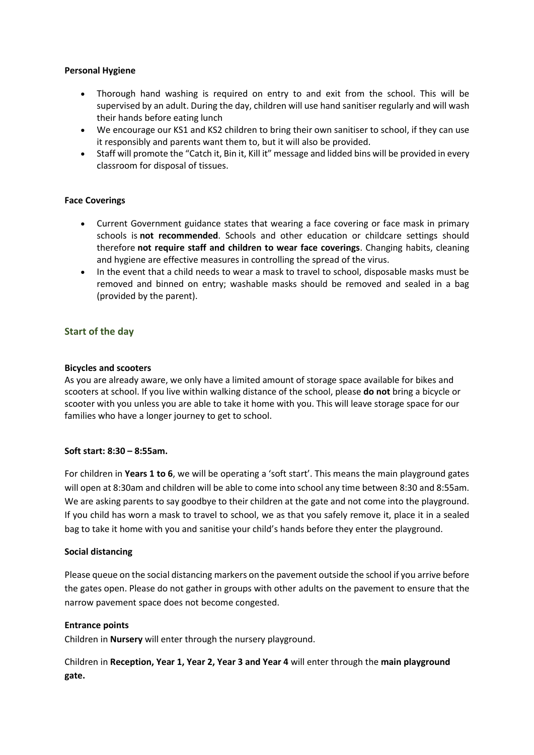### **Personal Hygiene**

- Thorough hand washing is required on entry to and exit from the school. This will be supervised by an adult. During the day, children will use hand sanitiser regularly and will wash their hands before eating lunch
- We encourage our KS1 and KS2 children to bring their own sanitiser to school, if they can use it responsibly and parents want them to, but it will also be provided.
- Staff will promote the "Catch it, Bin it, Kill it" message and lidded bins will be provided in every classroom for disposal of tissues.

## **Face Coverings**

- Current Government guidance states that wearing a face covering or face mask in primary schools is **not recommended**. Schools and other education or childcare settings should therefore **not require staff and children to wear face coverings**. Changing habits, cleaning and hygiene are effective measures in controlling the spread of the virus.
- In the event that a child needs to wear a mask to travel to school, disposable masks must be removed and binned on entry; washable masks should be removed and sealed in a bag (provided by the parent).

## **Start of the day**

### **Bicycles and scooters**

As you are already aware, we only have a limited amount of storage space available for bikes and scooters at school. If you live within walking distance of the school, please **do not** bring a bicycle or scooter with you unless you are able to take it home with you. This will leave storage space for our families who have a longer journey to get to school.

### **Soft start: 8:30 – 8:55am.**

For children in **Years 1 to 6**, we will be operating a 'soft start'. This means the main playground gates will open at 8:30am and children will be able to come into school any time between 8:30 and 8:55am. We are asking parents to say goodbye to their children at the gate and not come into the playground. If you child has worn a mask to travel to school, we as that you safely remove it, place it in a sealed bag to take it home with you and sanitise your child's hands before they enter the playground.

### **Social distancing**

Please queue on the social distancing markers on the pavement outside the school if you arrive before the gates open. Please do not gather in groups with other adults on the pavement to ensure that the narrow pavement space does not become congested.

### **Entrance points**

Children in **Nursery** will enter through the nursery playground.

Children in **Reception, Year 1, Year 2, Year 3 and Year 4** will enter through the **main playground gate.**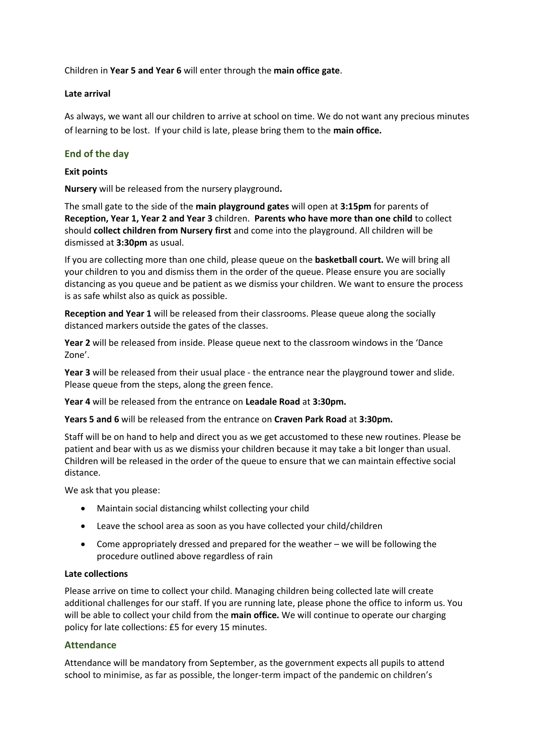Children in **Year 5 and Year 6** will enter through the **main office gate**.

## **Late arrival**

As always, we want all our children to arrive at school on time. We do not want any precious minutes of learning to be lost. If your child is late, please bring them to the **main office.**

# **End of the day**

## **Exit points**

**Nursery** will be released from the nursery playground**.**

The small gate to the side of the **main playground gates** will open at **3:15pm** for parents of **Reception, Year 1, Year 2 and Year 3** children. **Parents who have more than one child** to collect should **collect children from Nursery first** and come into the playground. All children will be dismissed at **3:30pm** as usual.

If you are collecting more than one child, please queue on the **basketball court.** We will bring all your children to you and dismiss them in the order of the queue. Please ensure you are socially distancing as you queue and be patient as we dismiss your children. We want to ensure the process is as safe whilst also as quick as possible.

**Reception and Year 1** will be released from their classrooms. Please queue along the socially distanced markers outside the gates of the classes.

**Year 2** will be released from inside. Please queue next to the classroom windows in the 'Dance Zone'.

**Year 3** will be released from their usual place - the entrance near the playground tower and slide. Please queue from the steps, along the green fence.

**Year 4** will be released from the entrance on **Leadale Road** at **3:30pm.**

**Years 5 and 6** will be released from the entrance on **Craven Park Road** at **3:30pm.**

Staff will be on hand to help and direct you as we get accustomed to these new routines. Please be patient and bear with us as we dismiss your children because it may take a bit longer than usual. Children will be released in the order of the queue to ensure that we can maintain effective social distance.

We ask that you please:

- Maintain social distancing whilst collecting your child
- Leave the school area as soon as you have collected your child/children
- Come appropriately dressed and prepared for the weather we will be following the procedure outlined above regardless of rain

### **Late collections**

Please arrive on time to collect your child. Managing children being collected late will create additional challenges for our staff. If you are running late, please phone the office to inform us. You will be able to collect your child from the **main office.** We will continue to operate our charging policy for late collections: £5 for every 15 minutes.

## **Attendance**

Attendance will be mandatory from September, as the government expects all pupils to attend school to minimise, as far as possible, the longer-term impact of the pandemic on children's